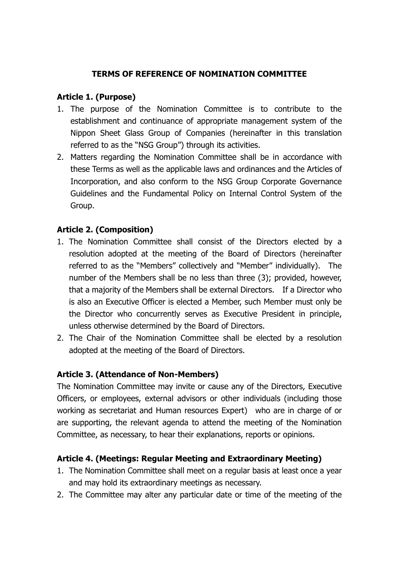### **TERMS OF REFERENCE OF NOMINATION COMMITTEE**

### **Article 1. (Purpose)**

- 1. The purpose of the Nomination Committee is to contribute to the establishment and continuance of appropriate management system of the Nippon Sheet Glass Group of Companies (hereinafter in this translation referred to as the "NSG Group") through its activities.
- 2. Matters regarding the Nomination Committee shall be in accordance with these Terms as well as the applicable laws and ordinances and the Articles of Incorporation, and also conform to the NSG Group Corporate Governance Guidelines and the Fundamental Policy on Internal Control System of the Group.

# **Article 2. (Composition)**

- 1. The Nomination Committee shall consist of the Directors elected by a resolution adopted at the meeting of the Board of Directors (hereinafter referred to as the "Members" collectively and "Member" individually). The number of the Members shall be no less than three (3); provided, however, that a majority of the Members shall be external Directors. If a Director who is also an Executive Officer is elected a Member, such Member must only be the Director who concurrently serves as Executive President in principle, unless otherwise determined by the Board of Directors.
- 2. The Chair of the Nomination Committee shall be elected by a resolution adopted at the meeting of the Board of Directors.

#### **Article 3. (Attendance of Non-Members)**

The Nomination Committee may invite or cause any of the Directors, Executive Officers, or employees, external advisors or other individuals (including those working as secretariat and Human resources Expert) who are in charge of or are supporting, the relevant agenda to attend the meeting of the Nomination Committee, as necessary, to hear their explanations, reports or opinions.

# **Article 4. (Meetings: Regular Meeting and Extraordinary Meeting)**

- 1. The Nomination Committee shall meet on a regular basis at least once a year and may hold its extraordinary meetings as necessary.
- 2. The Committee may alter any particular date or time of the meeting of the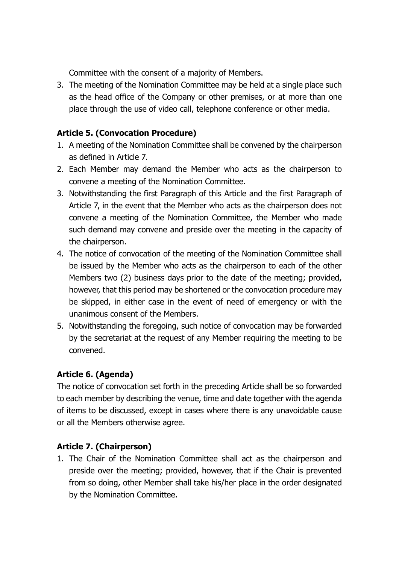Committee with the consent of a majority of Members.

3. The meeting of the Nomination Committee may be held at a single place such as the head office of the Company or other premises, or at more than one place through the use of video call, telephone conference or other media.

# **Article 5. (Convocation Procedure)**

- 1. A meeting of the Nomination Committee shall be convened by the chairperson as defined in Article 7.
- 2. Each Member may demand the Member who acts as the chairperson to convene a meeting of the Nomination Committee.
- 3. Notwithstanding the first Paragraph of this Article and the first Paragraph of Article 7, in the event that the Member who acts as the chairperson does not convene a meeting of the Nomination Committee, the Member who made such demand may convene and preside over the meeting in the capacity of the chairperson.
- 4. The notice of convocation of the meeting of the Nomination Committee shall be issued by the Member who acts as the chairperson to each of the other Members two (2) business days prior to the date of the meeting; provided, however, that this period may be shortened or the convocation procedure may be skipped, in either case in the event of need of emergency or with the unanimous consent of the Members.
- 5. Notwithstanding the foregoing, such notice of convocation may be forwarded by the secretariat at the request of any Member requiring the meeting to be convened.

# **Article 6. (Agenda)**

The notice of convocation set forth in the preceding Article shall be so forwarded to each member by describing the venue, time and date together with the agenda of items to be discussed, except in cases where there is any unavoidable cause or all the Members otherwise agree.

# **Article 7. (Chairperson)**

1. The Chair of the Nomination Committee shall act as the chairperson and preside over the meeting; provided, however, that if the Chair is prevented from so doing, other Member shall take his/her place in the order designated by the Nomination Committee.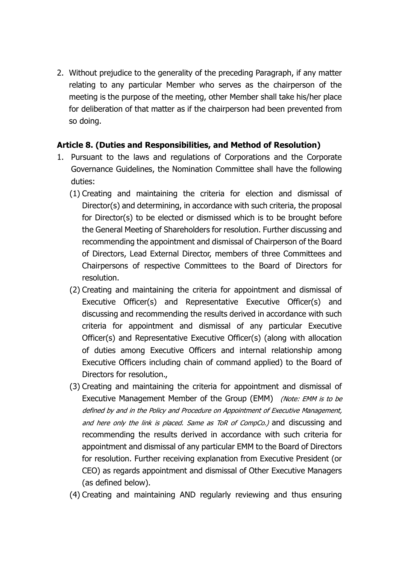2. Without prejudice to the generality of the preceding Paragraph, if any matter relating to any particular Member who serves as the chairperson of the meeting is the purpose of the meeting, other Member shall take his/her place for deliberation of that matter as if the chairperson had been prevented from so doing.

### **Article 8. (Duties and Responsibilities, and Method of Resolution)**

- 1. Pursuant to the laws and regulations of Corporations and the Corporate Governance Guidelines, the Nomination Committee shall have the following duties:
	- (1) Creating and maintaining the criteria for election and dismissal of Director(s) and determining, in accordance with such criteria, the proposal for Director(s) to be elected or dismissed which is to be brought before the General Meeting of Shareholders for resolution. Further discussing and recommending the appointment and dismissal of Chairperson of the Board of Directors, Lead External Director, members of three Committees and Chairpersons of respective Committees to the Board of Directors for resolution.
	- (2) Creating and maintaining the criteria for appointment and dismissal of Executive Officer(s) and Representative Executive Officer(s) and discussing and recommending the results derived in accordance with such criteria for appointment and dismissal of any particular Executive Officer(s) and Representative Executive Officer(s) (along with allocation of duties among Executive Officers and internal relationship among Executive Officers including chain of command applied) to the Board of Directors for resolution.,
	- (3) Creating and maintaining the criteria for appointment and dismissal of Executive Management Member of the Group [\(EMM\)](http://www.nsg.com/~/media/NSG/Site%20Content/ir/Press%20Releases/2015/28May2015NSGGroupCorporateGovernanceGuidelinesAtt_E01.pdf) (Note: EMM is to be defined by and in the Policy and Procedure on Appointment of Executive Management, and here only the link is placed. Same as ToR of CompCo.) and discussing and recommending the results derived in accordance with such criteria for appointment and dismissal of any particular [EMM](http://www.nsg.com/~/media/NSG/Site%20Content/ir/Press%20Releases/2015/28May2015NSGGroupCorporateGovernanceGuidelinesAtt_E01.pdf) to the Board of Directors for resolution. Further receiving explanation from Executive President (or CEO) as regards appointment and dismissal of Other Executive Managers (as defined below).
	- (4) Creating and maintaining AND regularly reviewing and thus ensuring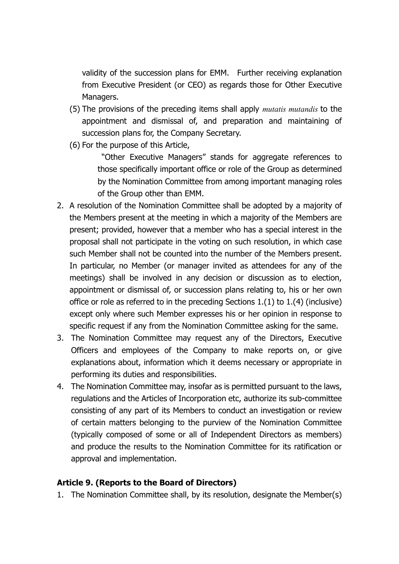validity of the succession plans for [EMM.](http://www.nsg.com/~/media/NSG/Site%20Content/ir/Press%20Releases/2015/28May2015NSGGroupCorporateGovernanceGuidelinesAtt_E01.pdf) Further receiving explanation from Executive President (or CEO) as regards those for Other Executive Managers.

- (5) The provisions of the preceding items shall apply *mutatis mutandis* to the appointment and dismissal of, and preparation and maintaining of succession plans for, the Company Secretary.
- (6) For the purpose of this Article,

"Other Executive Managers" stands for aggregate references to those specifically important office or role of the Group as determined by the Nomination Committee from among important managing roles of the Group other than EMM.

- 2. A resolution of the Nomination Committee shall be adopted by a majority of the Members present at the meeting in which a majority of the Members are present; provided, however that a member who has a special interest in the proposal shall not participate in the voting on such resolution, in which case such Member shall not be counted into the number of the Members present. In particular, no Member (or manager invited as attendees for any of the meetings) shall be involved in any decision or discussion as to election, appointment or dismissal of, or succession plans relating to, his or her own office or role as referred to in the preceding Sections 1.(1) to 1.(4) (inclusive) except only where such Member expresses his or her opinion in response to specific request if any from the Nomination Committee asking for the same.
- 3. The Nomination Committee may request any of the Directors, Executive Officers and employees of the Company to make reports on, or give explanations about, information which it deems necessary or appropriate in performing its duties and responsibilities.
- 4. The Nomination Committee may, insofar as is permitted pursuant to the laws, regulations and the Articles of Incorporation etc, authorize its sub-committee consisting of any part of its Members to conduct an investigation or review of certain matters belonging to the purview of the Nomination Committee (typically composed of some or all of Independent Directors as members) and produce the results to the Nomination Committee for its ratification or approval and implementation.

#### **Article 9. (Reports to the Board of Directors)**

1. The Nomination Committee shall, by its resolution, designate the Member(s)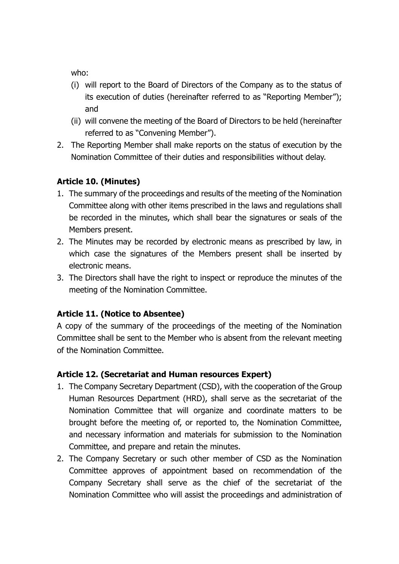who:

- (i) will report to the Board of Directors of the Company as to the status of its execution of duties (hereinafter referred to as "Reporting Member"); and
- (ii) will convene the meeting of the Board of Directors to be held (hereinafter referred to as "Convening Member").
- 2. The Reporting Member shall make reports on the status of execution by the Nomination Committee of their duties and responsibilities without delay.

# **Article 10. (Minutes)**

- 1. The summary of the proceedings and results of the meeting of the Nomination Committee along with other items prescribed in the laws and regulations shall be recorded in the minutes, which shall bear the signatures or seals of the Members present.
- 2. The Minutes may be recorded by electronic means as prescribed by law, in which case the signatures of the Members present shall be inserted by electronic means.
- 3. The Directors shall have the right to inspect or reproduce the minutes of the meeting of the Nomination Committee.

# **Article 11. (Notice to Absentee)**

A copy of the summary of the proceedings of the meeting of the Nomination Committee shall be sent to the Member who is absent from the relevant meeting of the Nomination Committee.

# **Article 12. (Secretariat and Human resources Expert)**

- 1. The Company Secretary Department (CSD), with the cooperation of the Group Human Resources Department (HRD), shall serve as the secretariat of the Nomination Committee that will organize and coordinate matters to be brought before the meeting of, or reported to, the Nomination Committee, and necessary information and materials for submission to the Nomination Committee, and prepare and retain the minutes.
- 2. The Company Secretary or such other member of CSD as the Nomination Committee approves of appointment based on recommendation of the Company Secretary shall serve as the chief of the secretariat of the Nomination Committee who will assist the proceedings and administration of